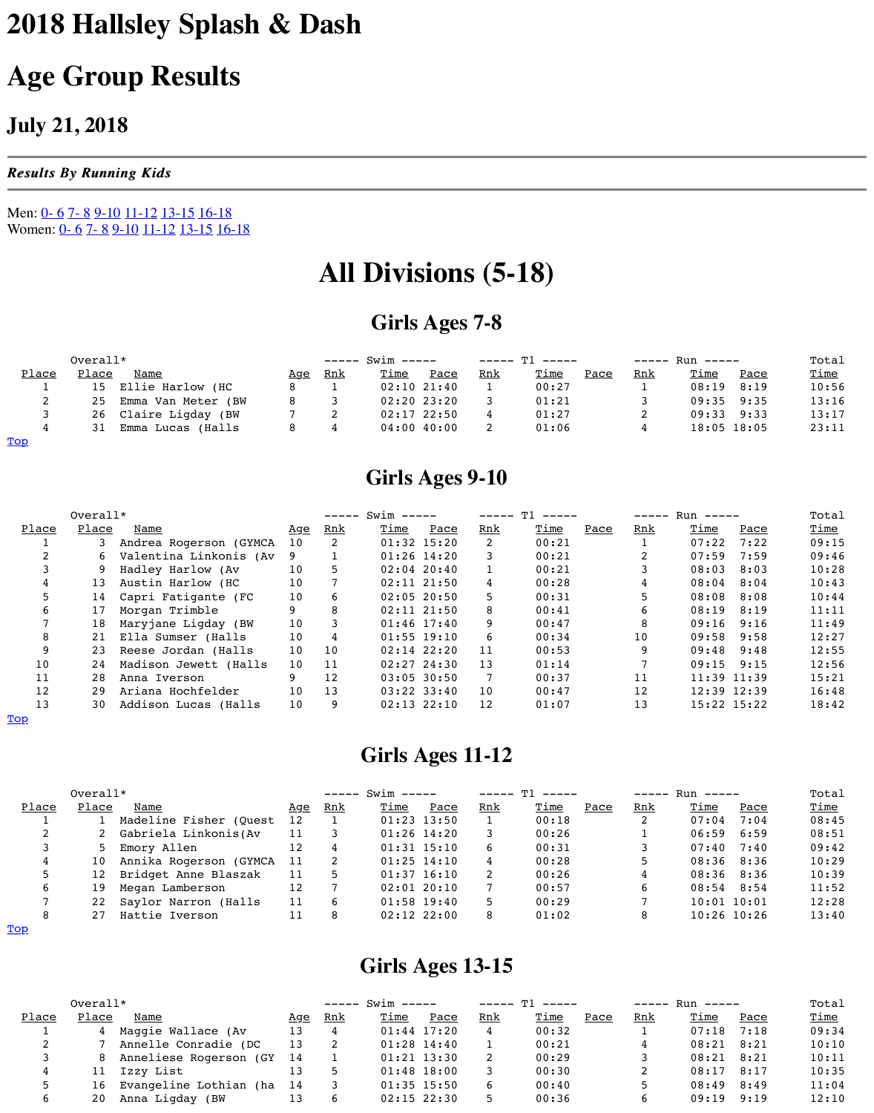| -   |    | Emma Van Meter (BW |  | 02:20 23:20     | 0 T 3 |
|-----|----|--------------------|--|-----------------|-------|
|     | 26 | Claire Ligday (BW  |  | $02:17$ $22:50$ | 01    |
|     | 31 | Emma Lucas (Halls  |  | $04:00$ 40:00   | 01    |
| Top |    |                    |  |                 |       |

# **Girls Ages 9-10**

|       | Overall* |                          |            |     |               |                 |     |            |
|-------|----------|--------------------------|------------|-----|---------------|-----------------|-----|------------|
| Place | Place    | Name                     | <u>Age</u> | Rnk | Time          | Pace            | Rnk | <u>Tin</u> |
|       |          | Andrea Rogerson (GYMCA   | 10         | 2   |               | $01:32$ 15:20   | 2   | 00:        |
|       | 6.       | Valentina Linkonis (Av 9 |            |     |               | $01:26$ 14:20   |     | 00:        |
|       |          | Hadley Harlow (Av        | 10         |     |               | $02:04$ 20:40   |     | 00:        |
|       | 13       | Austin Harlow (HC        | 10         |     |               | $02:11$ $21:50$ |     | 00:        |
|       | 14       | Capri Fatigante (FC      | 10         | 6   |               | $02:05$ 20:50   | 5   | 00:        |
| 6     | 17       | Morgan Trimble           |            |     |               | $02:11$ $21:50$ | 8   | 00:        |
|       | 18       | Maryjane Ligday (BW      | 10         |     |               | $01:46$ 17:40   | 9   | 00:        |
| 8     | 21       | Ella Sumser (Halls       | 10         |     |               | $01:55$ 19:10   | 6   | 00:        |
| 9     | 23       | Reese Jordan (Halls      | 10         | 10  | $02:14$ 22:20 |                 | 11  | 00:        |
| 10    | 24       | Madison Jewett (Halls    | 10         | 11  |               | $02:27$ 24:30   | 13  | 01         |
| 11    | 28       | Anna Iverson             |            | 12  |               | $03:05$ 30:50   |     | 00:        |
| 12    | 29       | Ariana Hochfelder        | 10         | 13  |               | $03:22$ $33:40$ | 10  | 00:        |
| 13    | 30       | Addison Lucas (Halls     | 10         |     |               | $02:13$ $22:10$ | 12  | 01         |

#### Top

# **Girls Ages 11-12**

<span id="page-0-0"></span>

|              | Overall*     |                         |                 |            | $--- 5win ---$ |                 |            |                 |  |
|--------------|--------------|-------------------------|-----------------|------------|----------------|-----------------|------------|-----------------|--|
| <u>Place</u> | <u>Place</u> | <b>Name</b>             | <u>Age</u>      | <u>Rnk</u> | <u>Time</u>    | Pace            | <u>Rnk</u> | <u>Tin</u>      |  |
|              |              | Madeline Fisher (Quest  | 12              |            |                | $01:23$ 13:50   |            | 00 <sub>1</sub> |  |
|              |              | Gabriela Linkonis(Av    | 11              |            |                | $01:26$ $14:20$ |            | 00 <sub>1</sub> |  |
|              |              | 5 Emory Allen           | 12              |            |                | $01:31$ $15:10$ | 6          | 00 <sub>1</sub> |  |
|              | 10           | Annika Rogerson (GYMCA  | 11              |            |                | $01:25$ 14:10   | 4          | 00 <sub>1</sub> |  |
|              |              | 12 Bridget Anne Blaszak | 11              |            |                | $01:37$ 16:10   |            | 00 <sub>1</sub> |  |
|              | 19           | Megan Lamberson         | 12 <sup>°</sup> |            |                | $02:01$ $20:10$ |            | 00:             |  |
|              | 22           | Saylor Narron (Halls    | 11              |            |                | $01:58$ 19:40   |            | 00:             |  |
|              |              | Hattie Iverson          |                 |            |                | $02:12$ $22:00$ |            | 01              |  |

Top

# **Girls Ages 13-15**

<span id="page-0-2"></span><span id="page-0-1"></span>

|       | $Overall*$   |                           |     |            | $--- 5win ---$ |                 |            |                 |  |
|-------|--------------|---------------------------|-----|------------|----------------|-----------------|------------|-----------------|--|
| Place | <u>Place</u> | Name                      | Aqe | <u>Rnk</u> | <u>Time</u>    | Pace            | <u>Rnk</u> | <u>Tin</u>      |  |
|       |              | Maggie Wallace (Av        | 13  |            |                | $01:44$ 17:20   |            | 00 <sub>1</sub> |  |
|       |              | Annelle Conradie (DC      | 13  |            |                | $01:28$ 14:40   |            | 00 <sub>1</sub> |  |
|       |              | 8 Anneliese Rogerson (GY  | 14  |            |                | $01:21$ $13:30$ |            | 00 <sub>1</sub> |  |
|       |              | 11 Izzy List              |     |            |                | $01:48$ 18:00   |            | 00 <sub>1</sub> |  |
|       |              | 16 Evangeline Lothian (ha | -14 |            |                | $01:35$ 15:50   |            | 00 <sub>1</sub> |  |
|       | 20           | Anna Ligday<br>(BW        |     |            |                | $02:15$ 22:30   |            | 00 <sub>1</sub> |  |